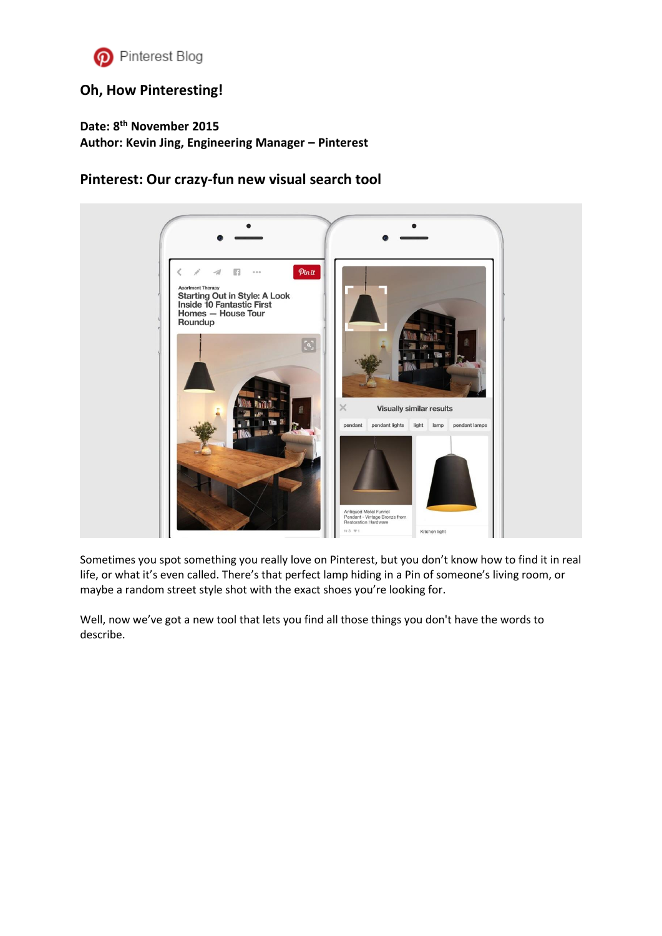

## **[Oh, How Pinteresting!](https://blog.pinterest.com/en)**

**Date: 8th November 2015 Author: Kevin Jing, Engineering Manager – Pinterest**

## **Pinterest: Our crazy-fun new visual search tool**



Sometimes you spot something you really love on Pinterest, but you don't know how to find it in real life, or what it's even called. There's that perfect lamp hiding in a Pin of someone's living room, or maybe a random street style shot with the exact shoes you're looking for.

Well, now we've got a new tool that lets you find all those things you don't have the words to describe.